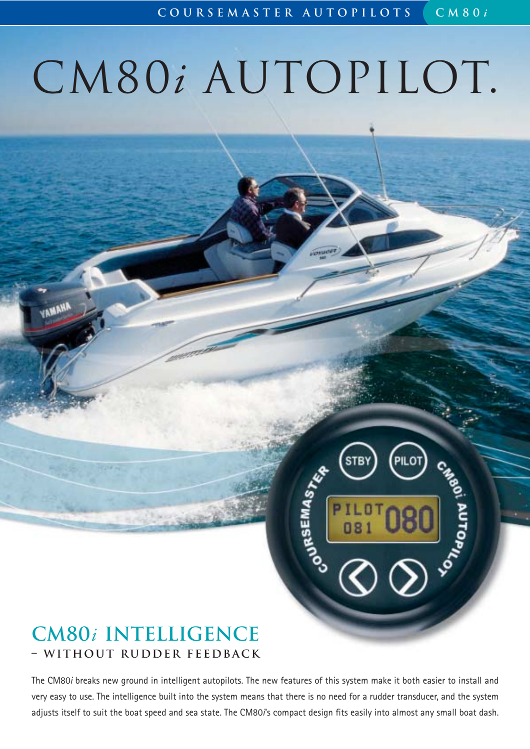**PAGOT MOPAC** 

# CM80*i* AUTOPILOT.

# **CM80***i* **intelligence – without rudder feedback**

**AMANA** 

The CM80*i* breaks new ground in intelligent autopilots. The new features of this system make it both easier to install and very easy to use. The intelligence built into the system means that there is no need for a rudder transducer, and the system adjusts itself to suit the boat speed and sea state. The CM80*i*'s compact design fits easily into almost any small boat dash.

**CONSEMAST**